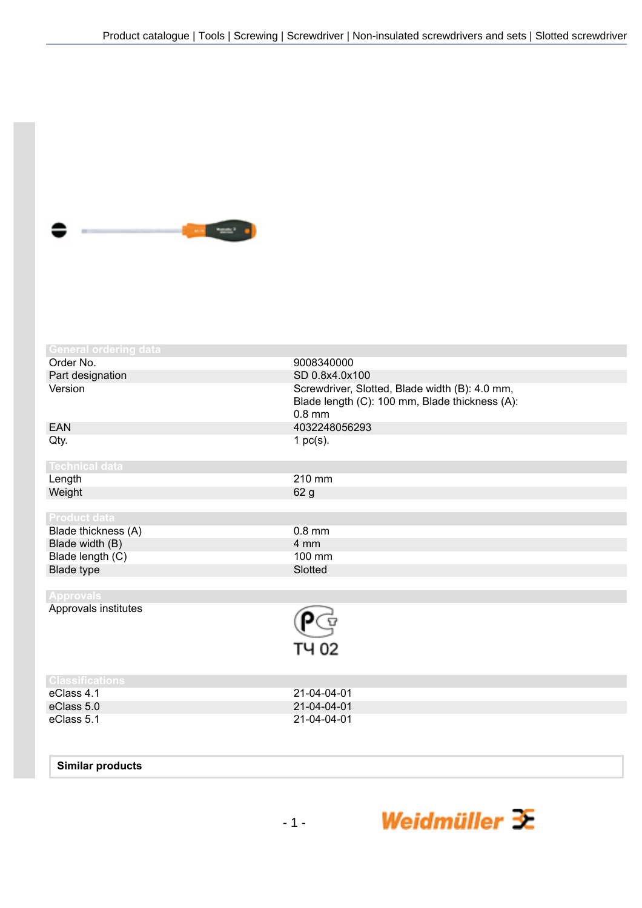

| <b>General ordering data</b> |                                                            |
|------------------------------|------------------------------------------------------------|
| Order No.                    | 9008340000                                                 |
| Part designation             | SD 0.8x4.0x100                                             |
| Version                      | Screwdriver, Slotted, Blade width (B): 4.0 mm,             |
|                              | Blade length (C): 100 mm, Blade thickness (A):<br>$0.8$ mm |
| <b>EAN</b>                   | 4032248056293                                              |
| Qty.                         | 1 $pc(s)$ .                                                |
| <b>Technical data</b>        |                                                            |
| Length                       | 210 mm                                                     |
| Weight                       | 62 g                                                       |
|                              |                                                            |
| <b>Product data</b>          |                                                            |
| Blade thickness (A)          | $0.8$ mm                                                   |
| Blade width (B)              | 4 mm                                                       |
| Blade length (C)             | 100 mm                                                     |
| <b>Blade type</b>            | Slotted                                                    |
|                              |                                                            |
| <b>Approvals</b>             |                                                            |
| Approvals institutes         |                                                            |
|                              |                                                            |
|                              | TY 02                                                      |
| <b>Classifications</b>       |                                                            |
| eClass 4.1                   | 21-04-04-01                                                |
| eClass 5.0                   | 21-04-04-01                                                |
| eClass 5.1                   | 21-04-04-01                                                |
|                              |                                                            |

## **Similar products**

Weidmüller  $\mathcal{\mathcal{F}}$